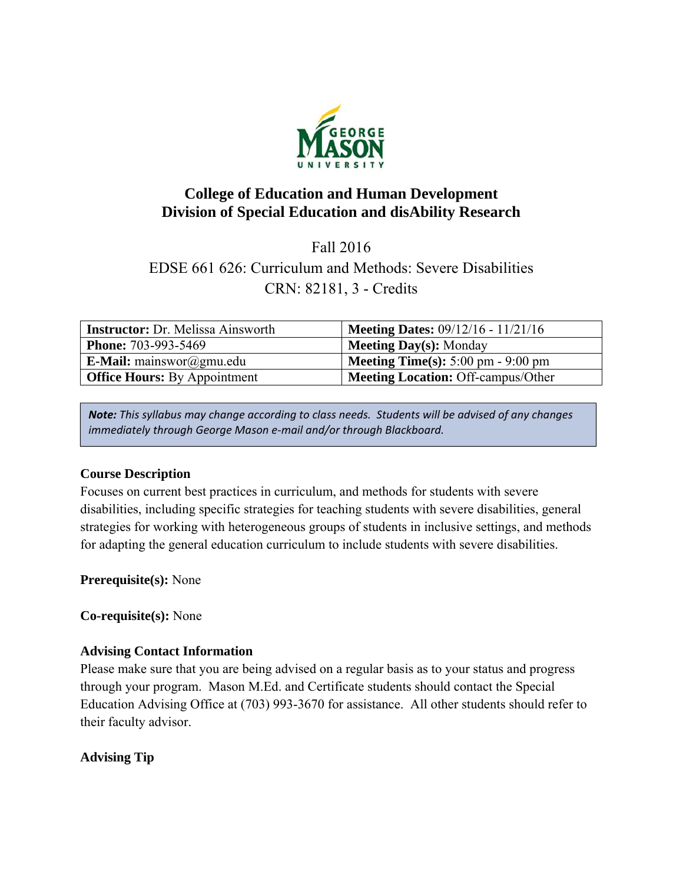

# **College of Education and Human Development Division of Special Education and disAbility Research**

Fall 2016 EDSE 661 626: Curriculum and Methods: Severe Disabilities CRN: 82181, 3 - Credits

| <b>Instructor:</b> Dr. Melissa Ainsworth | <b>Meeting Dates: 09/12/16 - 11/21/16</b>                   |
|------------------------------------------|-------------------------------------------------------------|
| <b>Phone: 703-993-5469</b>               | <b>Meeting Day(s):</b> Monday                               |
| <b>E-Mail:</b> mainswor@gmu.edu          | <b>Meeting Time(s):</b> $5:00 \text{ pm} - 9:00 \text{ pm}$ |
| <b>Office Hours:</b> By Appointment      | <b>Meeting Location: Off-campus/Other</b>                   |

*Note: This syllabus may change according to class needs. Students will be advised of any changes immediately through George Mason e‐mail and/or through Blackboard.*

# **Course Description**

Focuses on current best practices in curriculum, and methods for students with severe disabilities, including specific strategies for teaching students with severe disabilities, general strategies for working with heterogeneous groups of students in inclusive settings, and methods for adapting the general education curriculum to include students with severe disabilities.

**Prerequisite(s):** None

**Co-requisite(s):** None

# **Advising Contact Information**

Please make sure that you are being advised on a regular basis as to your status and progress through your program. Mason M.Ed. and Certificate students should contact the Special Education Advising Office at (703) 993-3670 for assistance. All other students should refer to their faculty advisor.

# **Advising Tip**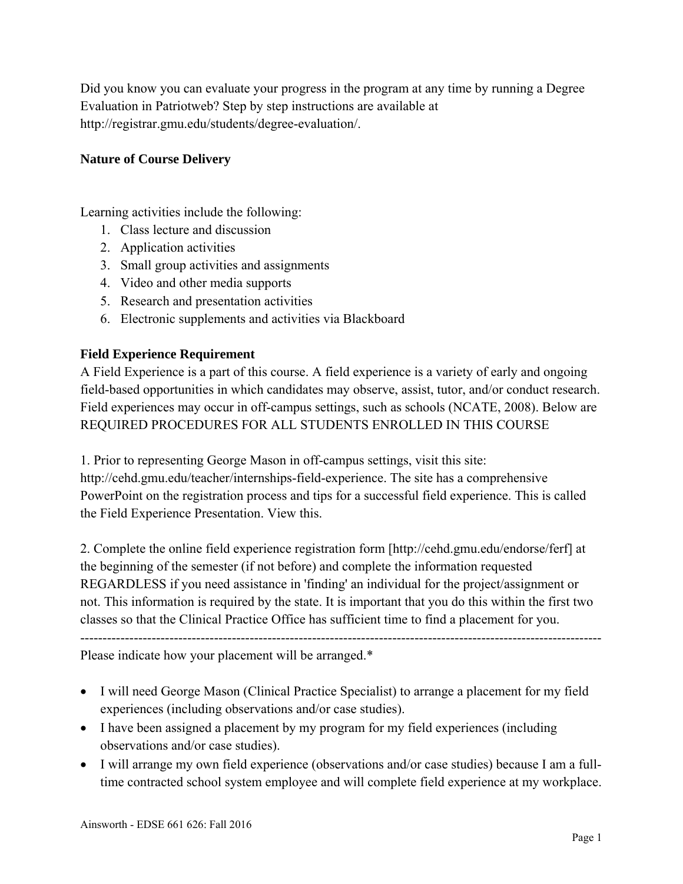Did you know you can evaluate your progress in the program at any time by running a Degree Evaluation in Patriotweb? Step by step instructions are available at http://registrar.gmu.edu/students/degree-evaluation/.

# **Nature of Course Delivery**

Learning activities include the following:

- 1. Class lecture and discussion
- 2. Application activities
- 3. Small group activities and assignments
- 4. Video and other media supports
- 5. Research and presentation activities
- 6. Electronic supplements and activities via Blackboard

# **Field Experience Requirement**

A Field Experience is a part of this course. A field experience is a variety of early and ongoing field-based opportunities in which candidates may observe, assist, tutor, and/or conduct research. Field experiences may occur in off-campus settings, such as schools (NCATE, 2008). Below are REQUIRED PROCEDURES FOR ALL STUDENTS ENROLLED IN THIS COURSE

1. Prior to representing George Mason in off-campus settings, visit this site: http://cehd.gmu.edu/teacher/internships-field-experience. The site has a comprehensive PowerPoint on the registration process and tips for a successful field experience. This is called the Field Experience Presentation. View this.

2. Complete the online field experience registration form [http://cehd.gmu.edu/endorse/ferf] at the beginning of the semester (if not before) and complete the information requested REGARDLESS if you need assistance in 'finding' an individual for the project/assignment or not. This information is required by the state. It is important that you do this within the first two classes so that the Clinical Practice Office has sufficient time to find a placement for you.

---------------------------------------------------------------------------------------------------------------------

Please indicate how your placement will be arranged.\*

- I will need George Mason (Clinical Practice Specialist) to arrange a placement for my field experiences (including observations and/or case studies).
- I have been assigned a placement by my program for my field experiences (including observations and/or case studies).
- I will arrange my own field experience (observations and/or case studies) because I am a fulltime contracted school system employee and will complete field experience at my workplace.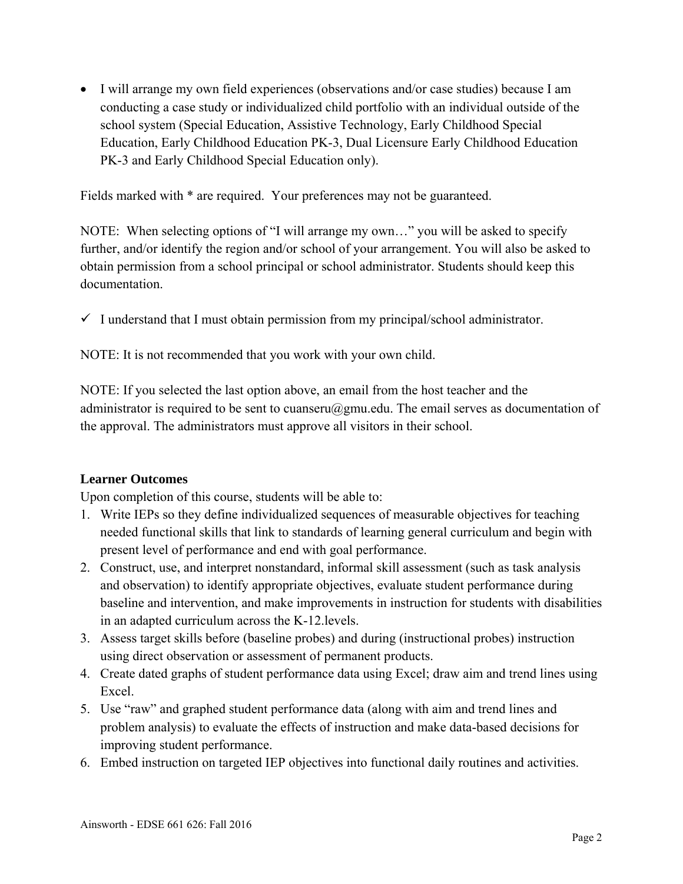I will arrange my own field experiences (observations and/or case studies) because I am conducting a case study or individualized child portfolio with an individual outside of the school system (Special Education, Assistive Technology, Early Childhood Special Education, Early Childhood Education PK-3, Dual Licensure Early Childhood Education PK-3 and Early Childhood Special Education only).

Fields marked with \* are required. Your preferences may not be guaranteed.

NOTE: When selecting options of "I will arrange my own…" you will be asked to specify further, and/or identify the region and/or school of your arrangement. You will also be asked to obtain permission from a school principal or school administrator. Students should keep this documentation.

 $\checkmark$  I understand that I must obtain permission from my principal/school administrator.

NOTE: It is not recommended that you work with your own child.

NOTE: If you selected the last option above, an email from the host teacher and the administrator is required to be sent to cuanseru@gmu.edu. The email serves as documentation of the approval. The administrators must approve all visitors in their school.

# **Learner Outcomes**

Upon completion of this course, students will be able to:

- 1. Write IEPs so they define individualized sequences of measurable objectives for teaching needed functional skills that link to standards of learning general curriculum and begin with present level of performance and end with goal performance.
- 2. Construct, use, and interpret nonstandard, informal skill assessment (such as task analysis and observation) to identify appropriate objectives, evaluate student performance during baseline and intervention, and make improvements in instruction for students with disabilities in an adapted curriculum across the K-12.levels.
- 3. Assess target skills before (baseline probes) and during (instructional probes) instruction using direct observation or assessment of permanent products.
- 4. Create dated graphs of student performance data using Excel; draw aim and trend lines using Excel.
- 5. Use "raw" and graphed student performance data (along with aim and trend lines and problem analysis) to evaluate the effects of instruction and make data-based decisions for improving student performance.
- 6. Embed instruction on targeted IEP objectives into functional daily routines and activities.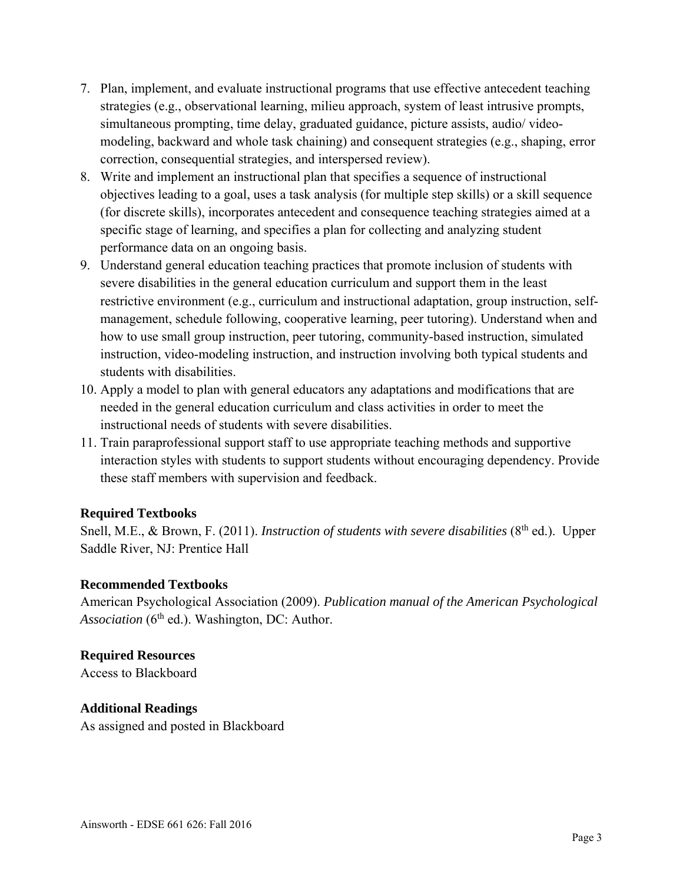- 7. Plan, implement, and evaluate instructional programs that use effective antecedent teaching strategies (e.g., observational learning, milieu approach, system of least intrusive prompts, simultaneous prompting, time delay, graduated guidance, picture assists, audio/ videomodeling, backward and whole task chaining) and consequent strategies (e.g., shaping, error correction, consequential strategies, and interspersed review).
- 8. Write and implement an instructional plan that specifies a sequence of instructional objectives leading to a goal, uses a task analysis (for multiple step skills) or a skill sequence (for discrete skills), incorporates antecedent and consequence teaching strategies aimed at a specific stage of learning, and specifies a plan for collecting and analyzing student performance data on an ongoing basis.
- 9. Understand general education teaching practices that promote inclusion of students with severe disabilities in the general education curriculum and support them in the least restrictive environment (e.g., curriculum and instructional adaptation, group instruction, selfmanagement, schedule following, cooperative learning, peer tutoring). Understand when and how to use small group instruction, peer tutoring, community-based instruction, simulated instruction, video-modeling instruction, and instruction involving both typical students and students with disabilities.
- 10. Apply a model to plan with general educators any adaptations and modifications that are needed in the general education curriculum and class activities in order to meet the instructional needs of students with severe disabilities.
- 11. Train paraprofessional support staff to use appropriate teaching methods and supportive interaction styles with students to support students without encouraging dependency. Provide these staff members with supervision and feedback.

# **Required Textbooks**

Snell, M.E., & Brown, F. (2011). *Instruction of students with severe disabilities* (8<sup>th</sup> ed.). Upper Saddle River, NJ: Prentice Hall

#### **Recommended Textbooks**

American Psychological Association (2009). *Publication manual of the American Psychological*  Association (6<sup>th</sup> ed.). Washington, DC: Author.

# **Required Resources**

Access to Blackboard

#### **Additional Readings**

As assigned and posted in Blackboard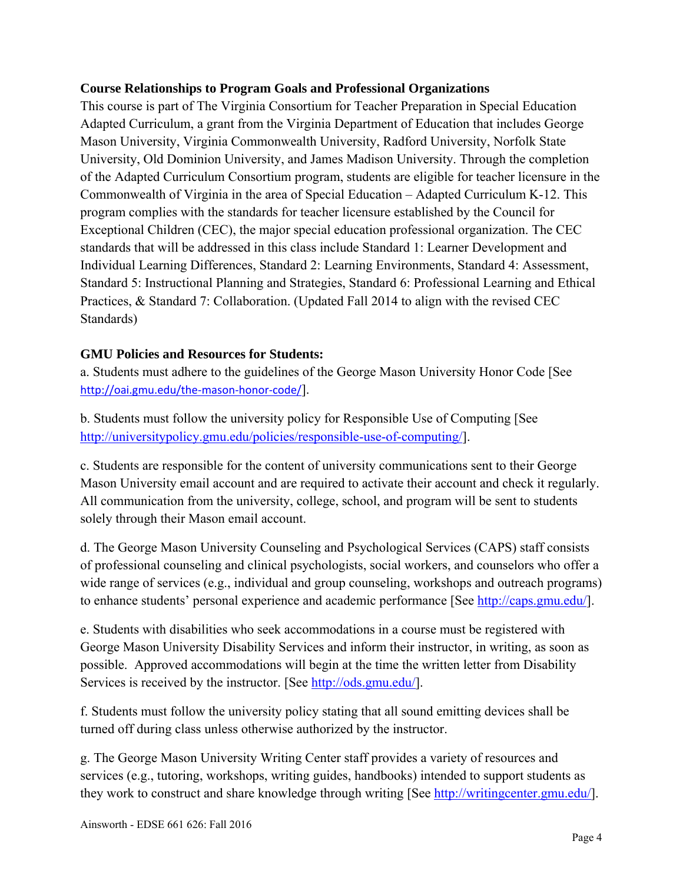# **Course Relationships to Program Goals and Professional Organizations**

This course is part of The Virginia Consortium for Teacher Preparation in Special Education Adapted Curriculum, a grant from the Virginia Department of Education that includes George Mason University, Virginia Commonwealth University, Radford University, Norfolk State University, Old Dominion University, and James Madison University. Through the completion of the Adapted Curriculum Consortium program, students are eligible for teacher licensure in the Commonwealth of Virginia in the area of Special Education – Adapted Curriculum K-12. This program complies with the standards for teacher licensure established by the Council for Exceptional Children (CEC), the major special education professional organization. The CEC standards that will be addressed in this class include Standard 1: Learner Development and Individual Learning Differences, Standard 2: Learning Environments, Standard 4: Assessment, Standard 5: Instructional Planning and Strategies, Standard 6: Professional Learning and Ethical Practices, & Standard 7: Collaboration. (Updated Fall 2014 to align with the revised CEC Standards)

# **GMU Policies and Resources for Students:**

a. Students must adhere to the guidelines of the George Mason University Honor Code [See http://oai.gmu.edu/the-mason-honor-code/].

b. Students must follow the university policy for Responsible Use of Computing [See http://universitypolicy.gmu.edu/policies/responsible-use-of-computing/].

c. Students are responsible for the content of university communications sent to their George Mason University email account and are required to activate their account and check it regularly. All communication from the university, college, school, and program will be sent to students solely through their Mason email account.

d. The George Mason University Counseling and Psychological Services (CAPS) staff consists of professional counseling and clinical psychologists, social workers, and counselors who offer a wide range of services (e.g., individual and group counseling, workshops and outreach programs) to enhance students' personal experience and academic performance [See http://caps.gmu.edu/].

e. Students with disabilities who seek accommodations in a course must be registered with George Mason University Disability Services and inform their instructor, in writing, as soon as possible. Approved accommodations will begin at the time the written letter from Disability Services is received by the instructor. [See http://ods.gmu.edu/].

f. Students must follow the university policy stating that all sound emitting devices shall be turned off during class unless otherwise authorized by the instructor.

g. The George Mason University Writing Center staff provides a variety of resources and services (e.g., tutoring, workshops, writing guides, handbooks) intended to support students as they work to construct and share knowledge through writing [See http://writingcenter.gmu.edu/].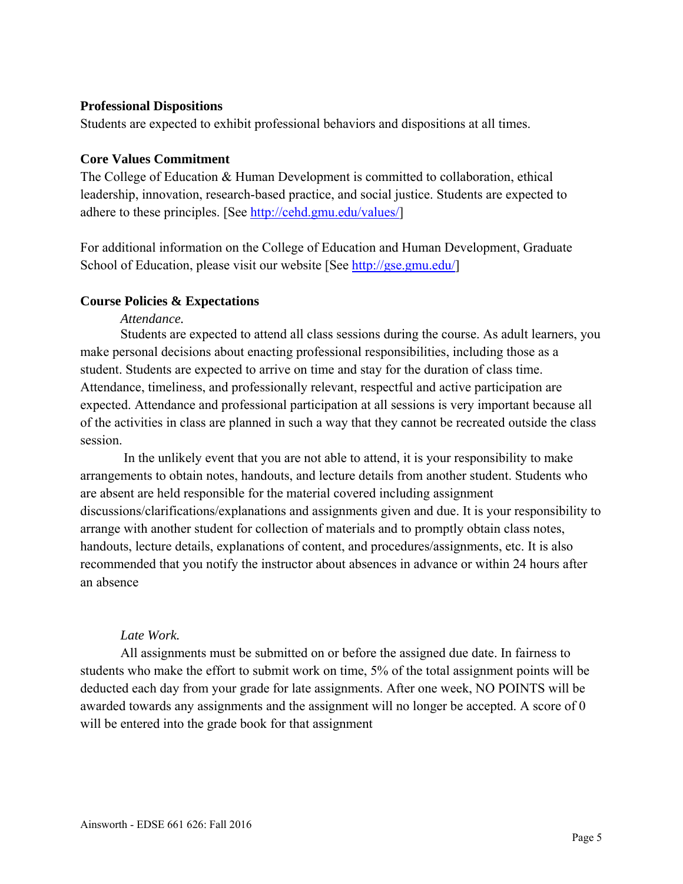#### **Professional Dispositions**

Students are expected to exhibit professional behaviors and dispositions at all times.

#### **Core Values Commitment**

The College of Education & Human Development is committed to collaboration, ethical leadership, innovation, research-based practice, and social justice. Students are expected to adhere to these principles. [See http://cehd.gmu.edu/values/]

For additional information on the College of Education and Human Development, Graduate School of Education, please visit our website [See http://gse.gmu.edu/]

#### **Course Policies & Expectations**

#### *Attendance.*

Students are expected to attend all class sessions during the course. As adult learners, you make personal decisions about enacting professional responsibilities, including those as a student. Students are expected to arrive on time and stay for the duration of class time. Attendance, timeliness, and professionally relevant, respectful and active participation are expected. Attendance and professional participation at all sessions is very important because all of the activities in class are planned in such a way that they cannot be recreated outside the class session.

 In the unlikely event that you are not able to attend, it is your responsibility to make arrangements to obtain notes, handouts, and lecture details from another student. Students who are absent are held responsible for the material covered including assignment discussions/clarifications/explanations and assignments given and due. It is your responsibility to arrange with another student for collection of materials and to promptly obtain class notes, handouts, lecture details, explanations of content, and procedures/assignments, etc. It is also recommended that you notify the instructor about absences in advance or within 24 hours after an absence

#### *Late Work.*

All assignments must be submitted on or before the assigned due date. In fairness to students who make the effort to submit work on time, 5% of the total assignment points will be deducted each day from your grade for late assignments. After one week, NO POINTS will be awarded towards any assignments and the assignment will no longer be accepted. A score of 0 will be entered into the grade book for that assignment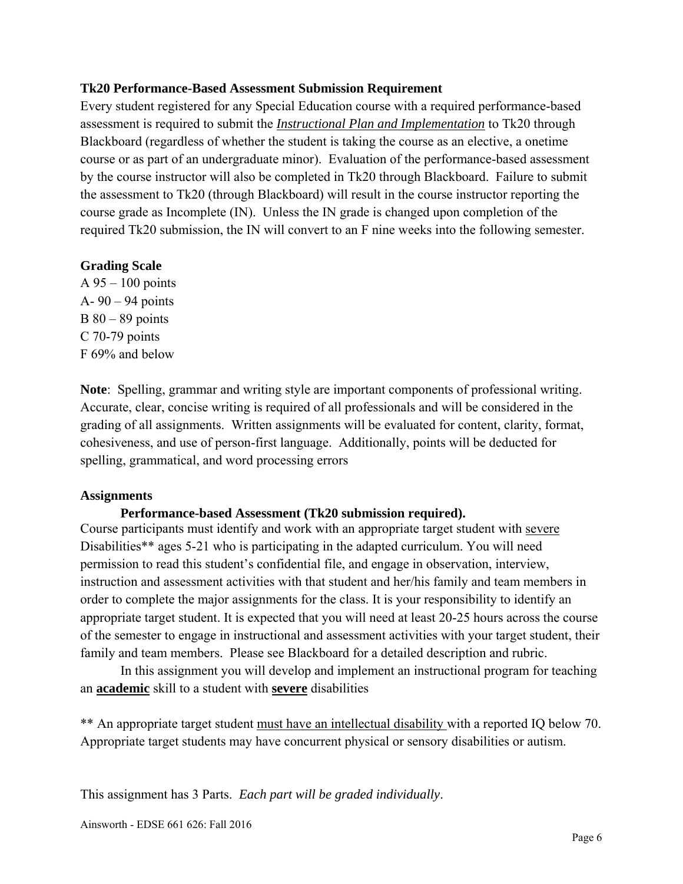# **Tk20 Performance-Based Assessment Submission Requirement**

Every student registered for any Special Education course with a required performance-based assessment is required to submit the *Instructional Plan and Implementation* to Tk20 through Blackboard (regardless of whether the student is taking the course as an elective, a onetime course or as part of an undergraduate minor). Evaluation of the performance-based assessment by the course instructor will also be completed in Tk20 through Blackboard. Failure to submit the assessment to Tk20 (through Blackboard) will result in the course instructor reporting the course grade as Incomplete (IN). Unless the IN grade is changed upon completion of the required Tk20 submission, the IN will convert to an F nine weeks into the following semester.

# **Grading Scale**

A 95 – 100 points A- 90 – 94 points  $B$  80 – 89 points C 70-79 points F 69% and below

**Note**: Spelling, grammar and writing style are important components of professional writing. Accurate, clear, concise writing is required of all professionals and will be considered in the grading of all assignments. Written assignments will be evaluated for content, clarity, format, cohesiveness, and use of person-first language. Additionally, points will be deducted for spelling, grammatical, and word processing errors

#### **Assignments**

#### **Performance-based Assessment (Tk20 submission required).**

Course participants must identify and work with an appropriate target student with severe Disabilities\*\* ages 5-21 who is participating in the adapted curriculum. You will need permission to read this student's confidential file, and engage in observation, interview, instruction and assessment activities with that student and her/his family and team members in order to complete the major assignments for the class. It is your responsibility to identify an appropriate target student. It is expected that you will need at least 20-25 hours across the course of the semester to engage in instructional and assessment activities with your target student, their family and team members. Please see Blackboard for a detailed description and rubric.

In this assignment you will develop and implement an instructional program for teaching an **academic** skill to a student with **severe** disabilities

\*\* An appropriate target student must have an intellectual disability with a reported IQ below 70. Appropriate target students may have concurrent physical or sensory disabilities or autism.

This assignment has 3 Parts. *Each part will be graded individually*.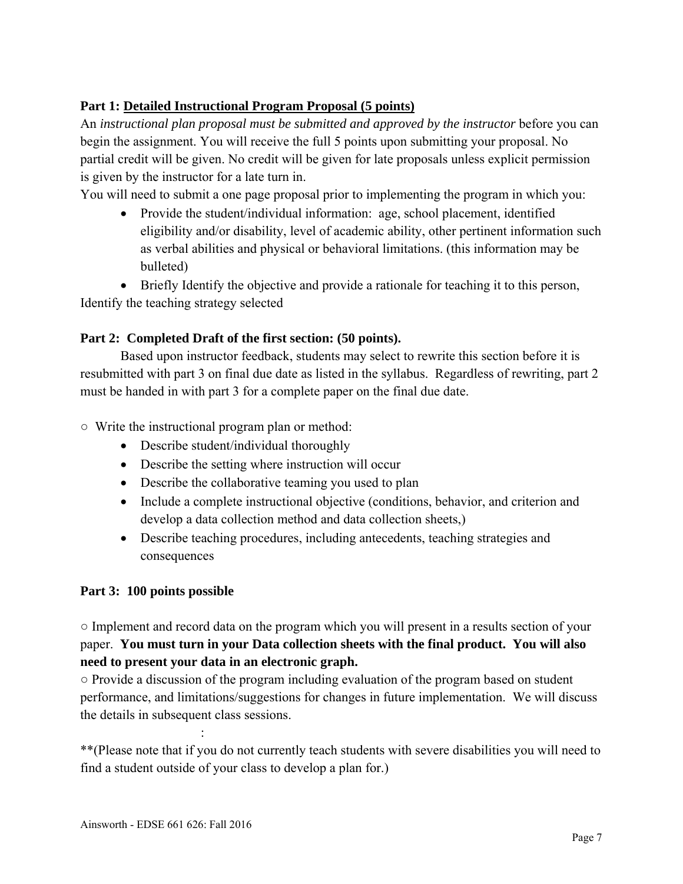# **Part 1: Detailed Instructional Program Proposal (5 points)**

An *instructional plan proposal must be submitted and approved by the instructor* before you can begin the assignment. You will receive the full 5 points upon submitting your proposal. No partial credit will be given. No credit will be given for late proposals unless explicit permission is given by the instructor for a late turn in.

You will need to submit a one page proposal prior to implementing the program in which you:

• Provide the student/individual information: age, school placement, identified eligibility and/or disability, level of academic ability, other pertinent information such as verbal abilities and physical or behavioral limitations. (this information may be bulleted)

 Briefly Identify the objective and provide a rationale for teaching it to this person, Identify the teaching strategy selected

# **Part 2: Completed Draft of the first section: (50 points).**

Based upon instructor feedback, students may select to rewrite this section before it is resubmitted with part 3 on final due date as listed in the syllabus. Regardless of rewriting, part 2 must be handed in with part 3 for a complete paper on the final due date.

○ Write the instructional program plan or method:

- Describe student/individual thoroughly
- Describe the setting where instruction will occur
- Describe the collaborative teaming you used to plan
- Include a complete instructional objective (conditions, behavior, and criterion and develop a data collection method and data collection sheets,)
- Describe teaching procedures, including antecedents, teaching strategies and consequences

# **Part 3: 100 points possible**

○ Implement and record data on the program which you will present in a results section of your paper. **You must turn in your Data collection sheets with the final product. You will also need to present your data in an electronic graph.** 

○ Provide a discussion of the program including evaluation of the program based on student performance, and limitations/suggestions for changes in future implementation. We will discuss the details in subsequent class sessions.

\*\*(Please note that if you do not currently teach students with severe disabilities you will need to find a student outside of your class to develop a plan for.)

**Service State State**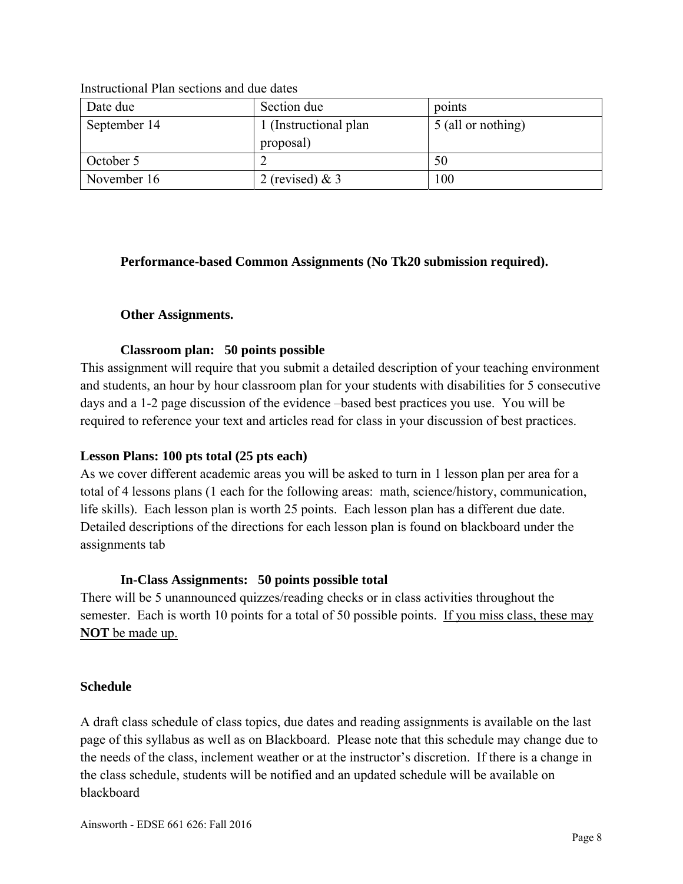| Date due     | Section due                         | points             |
|--------------|-------------------------------------|--------------------|
| September 14 | 1 (Instructional plan)<br>proposal) | 5 (all or nothing) |
| October 5    |                                     | 50                 |
| November 16  | 2 (revised) $& 3$                   | 100                |

Instructional Plan sections and due dates

# **Performance-based Common Assignments (No Tk20 submission required).**

# **Other Assignments.**

# **Classroom plan: 50 points possible**

This assignment will require that you submit a detailed description of your teaching environment and students, an hour by hour classroom plan for your students with disabilities for 5 consecutive days and a 1-2 page discussion of the evidence –based best practices you use. You will be required to reference your text and articles read for class in your discussion of best practices.

#### **Lesson Plans: 100 pts total (25 pts each)**

As we cover different academic areas you will be asked to turn in 1 lesson plan per area for a total of 4 lessons plans (1 each for the following areas: math, science/history, communication, life skills). Each lesson plan is worth 25 points. Each lesson plan has a different due date. Detailed descriptions of the directions for each lesson plan is found on blackboard under the assignments tab

#### **In-Class Assignments: 50 points possible total**

There will be 5 unannounced quizzes/reading checks or in class activities throughout the semester. Each is worth 10 points for a total of 50 possible points. If you miss class, these may **NOT** be made up.

#### **Schedule**

A draft class schedule of class topics, due dates and reading assignments is available on the last page of this syllabus as well as on Blackboard. Please note that this schedule may change due to the needs of the class, inclement weather or at the instructor's discretion. If there is a change in the class schedule, students will be notified and an updated schedule will be available on blackboard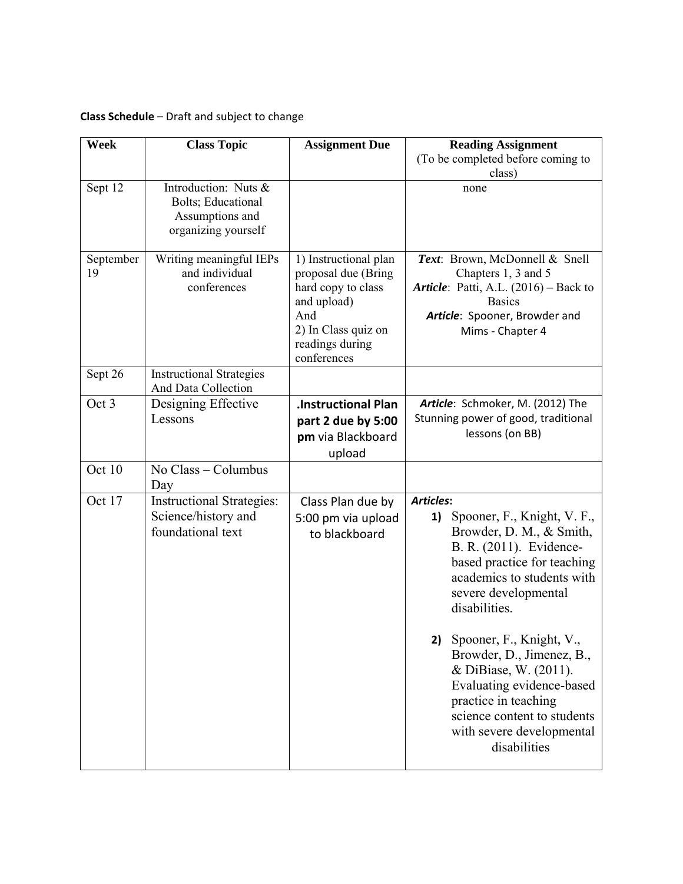# **Class Schedule** – Draft and subject to change

| <b>Week</b>     | <b>Class Topic</b>                                                                   | <b>Assignment Due</b>                                                                                                                             | <b>Reading Assignment</b><br>(To be completed before coming to                                                                                                                                                        |
|-----------------|--------------------------------------------------------------------------------------|---------------------------------------------------------------------------------------------------------------------------------------------------|-----------------------------------------------------------------------------------------------------------------------------------------------------------------------------------------------------------------------|
|                 |                                                                                      |                                                                                                                                                   | class)                                                                                                                                                                                                                |
| Sept 12         | Introduction: Nuts &<br>Bolts; Educational<br>Assumptions and<br>organizing yourself |                                                                                                                                                   | none                                                                                                                                                                                                                  |
| September<br>19 | Writing meaningful IEPs<br>and individual<br>conferences                             | 1) Instructional plan<br>proposal due (Bring<br>hard copy to class<br>and upload)<br>And<br>2) In Class quiz on<br>readings during<br>conferences | Text: Brown, McDonnell & Snell<br>Chapters 1, 3 and 5<br>Article: Patti, A.L. (2016) - Back to<br><b>Basics</b><br>Article: Spooner, Browder and<br>Mims - Chapter 4                                                  |
| Sept 26         | <b>Instructional Strategies</b><br>And Data Collection                               |                                                                                                                                                   |                                                                                                                                                                                                                       |
| Oct 3           | Designing Effective<br>Lessons                                                       | <b>.Instructional Plan</b><br>part 2 due by 5:00<br>pm via Blackboard<br>upload                                                                   | Article: Schmoker, M. (2012) The<br>Stunning power of good, traditional<br>lessons (on BB)                                                                                                                            |
| Oct 10          | No Class - Columbus<br>Day                                                           |                                                                                                                                                   |                                                                                                                                                                                                                       |
| Oct 17          | <b>Instructional Strategies:</b><br>Science/history and<br>foundational text         | Class Plan due by<br>5:00 pm via upload<br>to blackboard                                                                                          | <b>Articles:</b><br>Spooner, F., Knight, V. F.,<br>1)<br>Browder, D. M., & Smith,<br>B. R. (2011). Evidence-<br>based practice for teaching<br>academics to students with<br>severe developmental<br>disabilities.    |
|                 |                                                                                      |                                                                                                                                                   | Spooner, F., Knight, V.,<br>2)<br>Browder, D., Jimenez, B.,<br>& DiBiase, W. (2011).<br>Evaluating evidence-based<br>practice in teaching<br>science content to students<br>with severe developmental<br>disabilities |